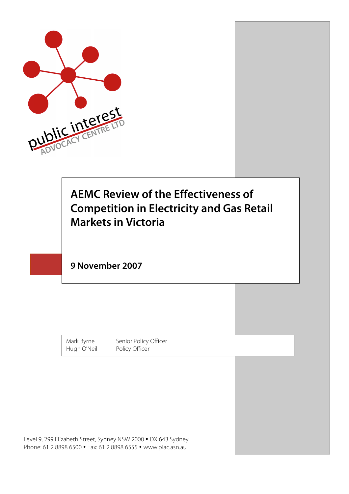

## **AEMC Review of the Effectiveness of Competition in Electricity and Gas Retail Markets in Victoria**

**9 November 2007**

Mark Byrne Senior Policy Officer Hugh O'Neill Policy Officer

Level 9, 299 Elizabeth Street, Sydney NSW 2000 • DX 643 Sydney Phone: 61 2 8898 6500 • Fax: 61 2 8898 6555 • www.piac.asn.au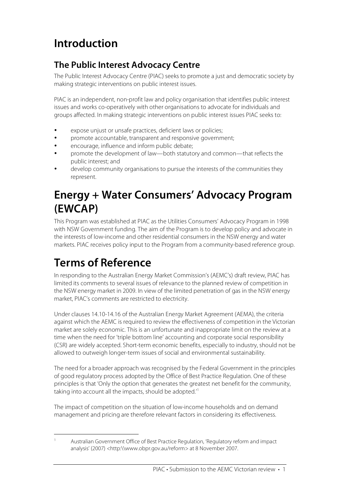# **Introduction**

#### **The Public Interest Advocacy Centre**

The Public Interest Advocacy Centre (PIAC) seeks to promote a just and democratic society by making strategic interventions on public interest issues.

PIAC is an independent, non-profit law and policy organisation that identifies public interest issues and works co-operatively with other organisations to advocate for individuals and groups affected. In making strategic interventions on public interest issues PIAC seeks to:

- expose unjust or unsafe practices, deficient laws or policies;
- promote accountable, transparent and responsive government;
- encourage, influence and inform public debate;
- promote the development of law—both statutory and common—that reflects the public interest; and
- develop community organisations to pursue the interests of the communities they represent.

#### **Energy + Water Consumers' Advocacy Program (EWCAP)**

This Program was established at PIAC as the Utilities Consumers' Advocacy Program in 1998 with NSW Government funding. The aim of the Program is to develop policy and advocate in the interests of low-income and other residential consumers in the NSW energy and water markets. PIAC receives policy input to the Program from a community-based reference group.

# **Terms of Reference**

In responding to the Australian Energy Market Commission's (AEMC's) draft review, PIAC has limited its comments to several issues of relevance to the planned review of competition in the NSW energy market in 2009. In view of the limited penetration of gas in the NSW energy market, PIAC's comments are restricted to electricity.

Under clauses 14.10-14.16 of the Australian Energy Market Agreement (AEMA), the criteria against which the AEMC is required to review the effectiveness of competition in the Victorian market are solely economic. This is an unfortunate and inappropriate limit on the review at a time when the need for 'triple bottom line' accounting and corporate social responsibility (CSR) are widely accepted. Short-term economic benefits, especially to industry, should not be allowed to outweigh longer-term issues of social and environmental sustainability.

The need for a broader approach was recognised by the Federal Government in the principles of good regulatory process adopted by the Office of Best Practice Regulation. One of these principles is that 'Only the option that generates the greatest net benefit for the community, taking into account all the impacts, should be adopted.<sup>1</sup>

The impact of competition on the situation of low-income households and on demand management and pricing are therefore relevant factors in considering its effectiveness.

 <sup>1</sup> Australian Government Office of Best Practice Regulation, 'Regulatory reform and impact analysis' (2007) <http:\\www.obpr.gov.au/reform> at 8 November 2007.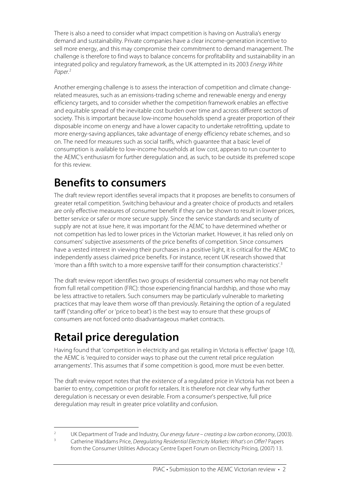There is also a need to consider what impact competition is having on Australia's energy demand and sustainability. Private companies have a clear income-generation incentive to sell more energy, and this may compromise their commitment to demand management. The challenge is therefore to find ways to balance concerns for profitability and sustainability in an integrated policy and regulatory framework, as the UK attempted in its 2003 Energy White Paper. 2

Another emerging challenge is to assess the interaction of competition and climate changerelated measures, such as an emissions-trading scheme and renewable energy and energy efficiency targets, and to consider whether the competition framework enables an effective and equitable spread of the inevitable cost burden over time and across different sectors of society. This is important because low-income households spend a greater proportion of their disposable income on energy and have a lower capacity to undertake retrofitting, update to more energy-saving appliances, take advantage of energy efficiency rebate schemes, and so on. The need for measures such as social tariffs, which guarantee that a basic level of consumption is available to low-income households at low cost, appears to run counter to the AEMC's enthusiasm for further deregulation and, as such, to be outside its preferred scope for this review.

### **Benefits to consumers**

The draft review report identifies several impacts that it proposes are benefits to consumers of greater retail competition. Switching behaviour and a greater choice of products and retailers are only effective measures of consumer benefit if they can be shown to result in lower prices, better service or safer or more secure supply. Since the service standards and security of supply are not at issue here, it was important for the AEMC to have determined whether or not competition has led to lower prices in the Victorian market. However, it has relied only on consumers' subjective assessments of the price benefits of competition. Since consumers have a vested interest in viewing their purchases in a positive light, it is critical for the AEMC to independently assess claimed price benefits. For instance, recent UK research showed that 'more than a fifth switch to a more expensive tariff for their consumption characteristics'.<sup>3</sup>

The draft review report identifies two groups of residential consumers who may not benefit from full retail competition (FRC): those experiencing financial hardship, and those who may be less attractive to retailers. Such consumers may be particularly vulnerable to marketing practices that may leave them worse off than previously. Retaining the option of a regulated tariff ('standing offer' or 'price to beat') is the best way to ensure that these groups of consumers are not forced onto disadvantageous market contracts.

# **Retail price deregulation**

Having found that 'competition in electricity and gas retailing in Victoria is effective' (page 10), the AEMC is 'required to consider ways to phase out the current retail price regulation arrangements'. This assumes that if some competition is good, more must be even better.

The draft review report notes that the existence of a regulated price in Victoria has not been a barrier to entry, competition or profit for retailers. It is therefore not clear why further deregulation is necessary or even desirable. From a consumer's perspective, full price deregulation may result in greater price volatility and confusion.

<sup>&</sup>lt;sup>2</sup> UK Department of Trade and Industry, Our energy future – creating a low carbon economy, (2003).

<sup>3</sup> Catherine Waddams Price, Deregulating Residential Electricity Markets: What's on Offer? Papers from the Consumer Utilities Advocacy Centre Expert Forum on Electricity Pricing, (2007) 13.